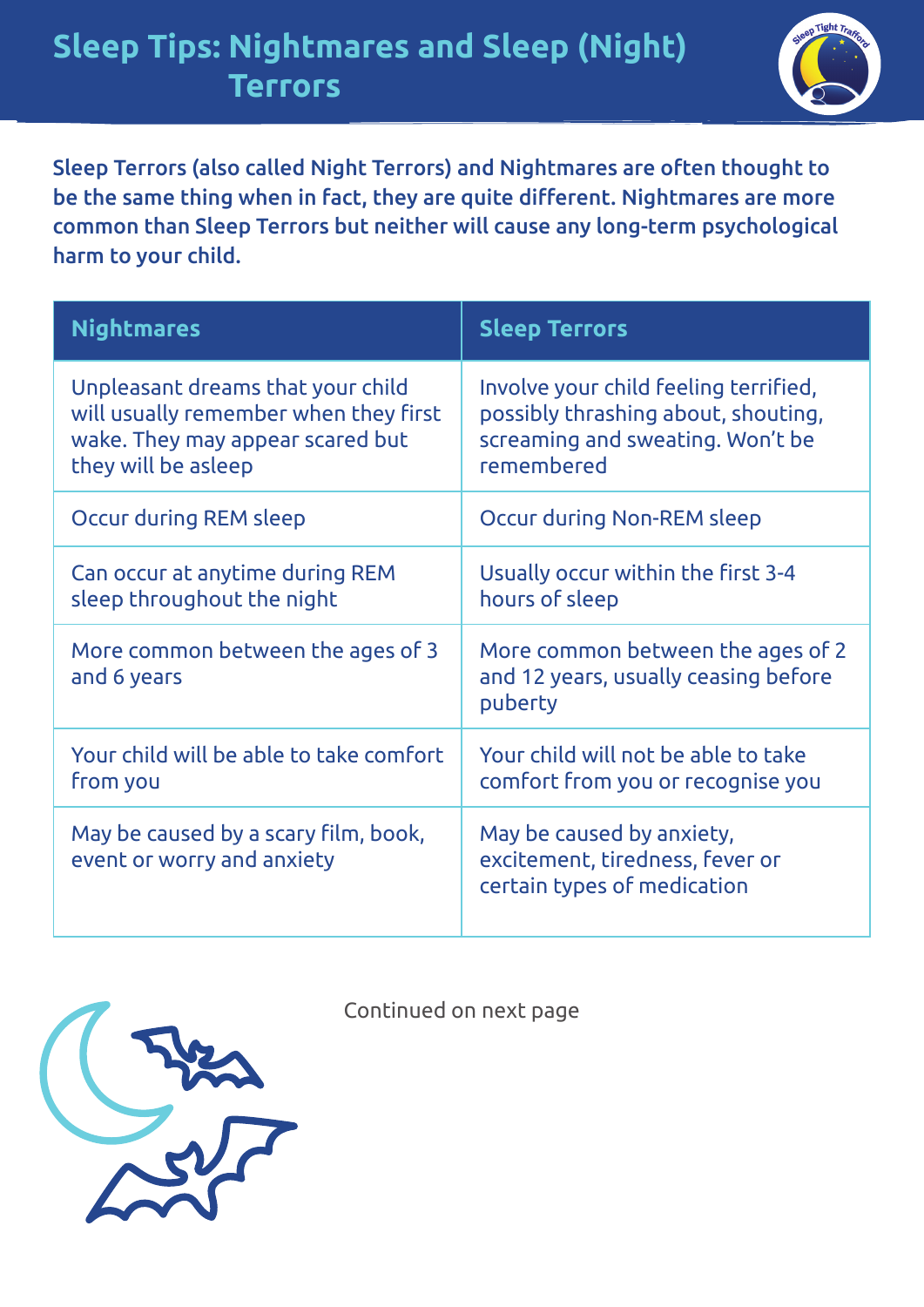

Sleep Terrors (also called Night Terrors) and Nightmares are often thought to be the same thing when in fact, they are quite different. Nightmares are more common than Sleep Terrors but neither will cause any long-term psychological harm to your child.

| <b>Nightmares</b>                                                                                                                     | <b>Sleep Terrors</b>                                                                                                           |
|---------------------------------------------------------------------------------------------------------------------------------------|--------------------------------------------------------------------------------------------------------------------------------|
| Unpleasant dreams that your child<br>will usually remember when they first<br>wake. They may appear scared but<br>they will be asleep | Involve your child feeling terrified,<br>possibly thrashing about, shouting,<br>screaming and sweating. Won't be<br>remembered |
| Occur during REM sleep                                                                                                                | Occur during Non-REM sleep                                                                                                     |
| Can occur at anytime during REM<br>sleep throughout the night                                                                         | Usually occur within the first 3-4<br>hours of sleep                                                                           |
| More common between the ages of 3<br>and 6 years                                                                                      | More common between the ages of 2<br>and 12 years, usually ceasing before<br>puberty                                           |
| Your child will be able to take comfort<br>from you                                                                                   | Your child will not be able to take<br>comfort from you or recognise you                                                       |
| May be caused by a scary film, book,<br>event or worry and anxiety                                                                    | May be caused by anxiety,<br>excitement, tiredness, fever or<br>certain types of medication                                    |



Continued on next page